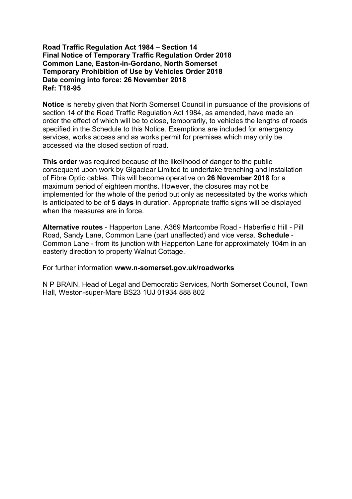# **Road Traffic Regulation Act 1984 – Section 14 Final Notice of Temporary Traffic Regulation Order 2018 Common Lane, Easton-in-Gordano, North Somerset Temporary Prohibition of Use by Vehicles Order 2018 Date coming into force: 26 November 2018 Ref: T18-95**

**Notice** is hereby given that North Somerset Council in pursuance of the provisions of section 14 of the Road Traffic Regulation Act 1984, as amended, have made an order the effect of which will be to close, temporarily, to vehicles the lengths of roads specified in the Schedule to this Notice. Exemptions are included for emergency services, works access and as works permit for premises which may only be accessed via the closed section of road.

**This order** was required because of the likelihood of danger to the public consequent upon work by Gigaclear Limited to undertake trenching and installation of Fibre Optic cables. This will become operative on **26 November 2018** for a maximum period of eighteen months. However, the closures may not be implemented for the whole of the period but only as necessitated by the works which is anticipated to be of **5 days** in duration. Appropriate traffic signs will be displayed when the measures are in force.

**Alternative routes** - Happerton Lane, A369 Martcombe Road - Haberfield Hill - Pill Road, Sandy Lane, Common Lane (part unaffected) and vice versa. **Schedule** - Common Lane - from its junction with Happerton Lane for approximately 104m in an easterly direction to property Walnut Cottage.

For further information **www.n-somerset.gov.uk/roadworks**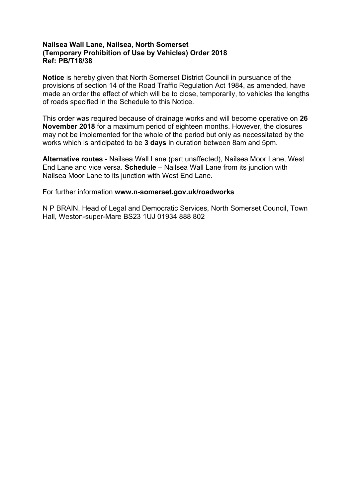# **Nailsea Wall Lane, Nailsea, North Somerset (Temporary Prohibition of Use by Vehicles) Order 2018 Ref: PB/T18/38**

**Notice** is hereby given that North Somerset District Council in pursuance of the provisions of section 14 of the Road Traffic Regulation Act 1984, as amended, have made an order the effect of which will be to close, temporarily, to vehicles the lengths of roads specified in the Schedule to this Notice.

This order was required because of drainage works and will become operative on **26 November 2018** for a maximum period of eighteen months. However, the closures may not be implemented for the whole of the period but only as necessitated by the works which is anticipated to be **3 days** in duration between 8am and 5pm.

**Alternative routes** - Nailsea Wall Lane (part unaffected), Nailsea Moor Lane, West End Lane and vice versa. **Schedule** – Nailsea Wall Lane from its junction with Nailsea Moor Lane to its junction with West End Lane.

For further information **www.n-somerset.gov.uk/roadworks**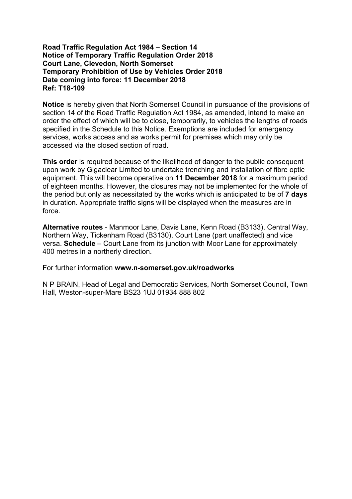# **Road Traffic Regulation Act 1984 – Section 14 Notice of Temporary Traffic Regulation Order 2018 Court Lane, Clevedon, North Somerset Temporary Prohibition of Use by Vehicles Order 2018 Date coming into force: 11 December 2018 Ref: T18-109**

**Notice** is hereby given that North Somerset Council in pursuance of the provisions of section 14 of the Road Traffic Regulation Act 1984, as amended, intend to make an order the effect of which will be to close, temporarily, to vehicles the lengths of roads specified in the Schedule to this Notice. Exemptions are included for emergency services, works access and as works permit for premises which may only be accessed via the closed section of road.

**This order** is required because of the likelihood of danger to the public consequent upon work by Gigaclear Limited to undertake trenching and installation of fibre optic equipment. This will become operative on **11 December 2018** for a maximum period of eighteen months. However, the closures may not be implemented for the whole of the period but only as necessitated by the works which is anticipated to be of **7 days** in duration. Appropriate traffic signs will be displayed when the measures are in force.

**Alternative routes** - Manmoor Lane, Davis Lane, Kenn Road (B3133), Central Way, Northern Way, Tickenham Road (B3130), Court Lane (part unaffected) and vice versa. **Schedule** – Court Lane from its junction with Moor Lane for approximately 400 metres in a northerly direction.

For further information **www.n-somerset.gov.uk/roadworks**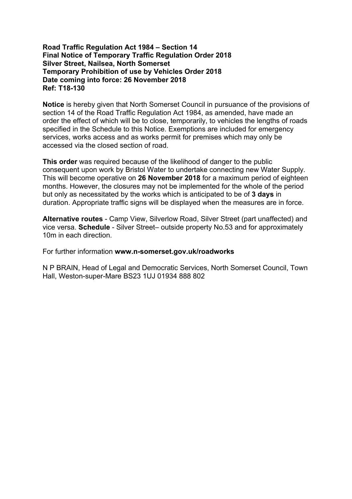# **Road Traffic Regulation Act 1984 – Section 14 Final Notice of Temporary Traffic Regulation Order 2018 Silver Street, Nailsea, North Somerset Temporary Prohibition of use by Vehicles Order 2018 Date coming into force: 26 November 2018 Ref: T18-130**

**Notice** is hereby given that North Somerset Council in pursuance of the provisions of section 14 of the Road Traffic Regulation Act 1984, as amended, have made an order the effect of which will be to close, temporarily, to vehicles the lengths of roads specified in the Schedule to this Notice. Exemptions are included for emergency services, works access and as works permit for premises which may only be accessed via the closed section of road.

**This order** was required because of the likelihood of danger to the public consequent upon work by Bristol Water to undertake connecting new Water Supply. This will become operative on **26 November 2018** for a maximum period of eighteen months. However, the closures may not be implemented for the whole of the period but only as necessitated by the works which is anticipated to be of **3 days** in duration. Appropriate traffic signs will be displayed when the measures are in force.

**Alternative routes** - Camp View, Silverlow Road, Silver Street (part unaffected) and vice versa. **Schedule** - Silver Street– outside property No.53 and for approximately 10m in each direction.

For further information **www.n-somerset.gov.uk/roadworks**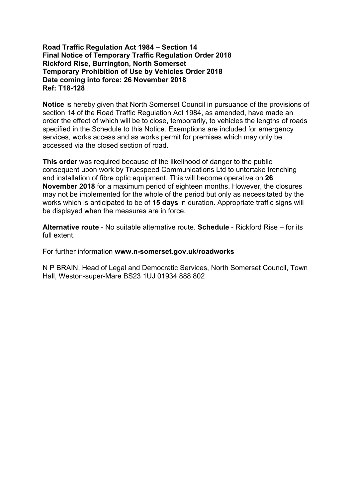# **Road Traffic Regulation Act 1984 – Section 14 Final Notice of Temporary Traffic Regulation Order 2018 Rickford Rise, Burrington, North Somerset Temporary Prohibition of Use by Vehicles Order 2018 Date coming into force: 26 November 2018 Ref: T18-128**

**Notice** is hereby given that North Somerset Council in pursuance of the provisions of section 14 of the Road Traffic Regulation Act 1984, as amended, have made an order the effect of which will be to close, temporarily, to vehicles the lengths of roads specified in the Schedule to this Notice. Exemptions are included for emergency services, works access and as works permit for premises which may only be accessed via the closed section of road.

**This order** was required because of the likelihood of danger to the public consequent upon work by Truespeed Communications Ltd to untertake trenching and installation of fibre optic equipment. This will become operative on **26 November 2018** for a maximum period of eighteen months. However, the closures may not be implemented for the whole of the period but only as necessitated by the works which is anticipated to be of **15 days** in duration. Appropriate traffic signs will be displayed when the measures are in force.

**Alternative route** - No suitable alternative route. **Schedule** - Rickford Rise – for its full extent.

For further information **www.n-somerset.gov.uk/roadworks**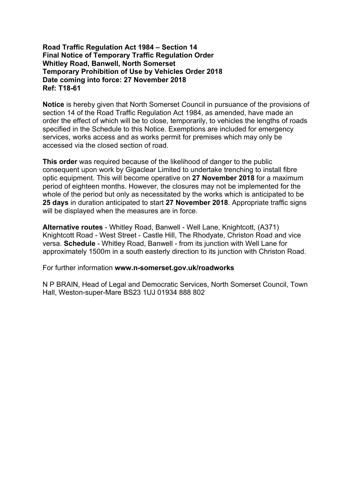# **Road Traffic Regulation Act 1984 – Section 14 Final Notice of Temporary Traffic Regulation Order Whitley Road, Banwell, North Somerset Temporary Prohibition of Use by Vehicles Order 2018 Date coming into force: 27 November 2018 Ref: T18-61**

**Notice** is hereby given that North Somerset Council in pursuance of the provisions of section 14 of the Road Traffic Regulation Act 1984, as amended, have made an order the effect of which will be to close, temporarily, to vehicles the lengths of roads specified in the Schedule to this Notice. Exemptions are included for emergency services, works access and as works permit for premises which may only be accessed via the closed section of road.

**This order** was required because of the likelihood of danger to the public consequent upon work by Gigaclear Limited to undertake trenching to install fibre optic equipment. This will become operative on **27 November 2018** for a maximum period of eighteen months. However, the closures may not be implemented for the whole of the period but only as necessitated by the works which is anticipated to be **25 days** in duration anticipated to start **27 November 2018**. Appropriate traffic signs will be displayed when the measures are in force.

**Alternative routes** - Whitley Road, Banwell - Well Lane, Knightcott, (A371) Knightcott Road - West Street - Castle Hill, The Rhodyate, Christon Road and vice versa. **Schedule** - Whitley Road, Banwell - from its junction with Well Lane for approximately 1500m in a south easterly direction to its junction with Christon Road.

For further information **www.n-somerset.gov.uk/roadworks**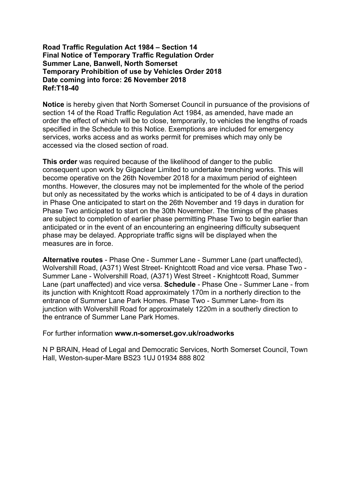# **Road Traffic Regulation Act 1984 – Section 14 Final Notice of Temporary Traffic Regulation Order Summer Lane, Banwell, North Somerset Temporary Prohibition of use by Vehicles Order 2018 Date coming into force: 26 November 2018 Ref:T18-40**

**Notice** is hereby given that North Somerset Council in pursuance of the provisions of section 14 of the Road Traffic Regulation Act 1984, as amended, have made an order the effect of which will be to close, temporarily, to vehicles the lengths of roads specified in the Schedule to this Notice. Exemptions are included for emergency services, works access and as works permit for premises which may only be accessed via the closed section of road.

**This order** was required because of the likelihood of danger to the public consequent upon work by Gigaclear Limited to undertake trenching works. This will become operative on the 26th November 2018 for a maximum period of eighteen months. However, the closures may not be implemented for the whole of the period but only as necessitated by the works which is anticipated to be of 4 days in duration in Phase One anticipated to start on the 26th November and 19 days in duration for Phase Two anticipated to start on the 30th Novermber. The timings of the phases are subject to completion of earlier phase permitting Phase Two to begin earlier than anticipated or in the event of an encountering an engineering difficulty subsequent phase may be delayed. Appropriate traffic signs will be displayed when the measures are in force.

**Alternative routes** - Phase One - Summer Lane - Summer Lane (part unaffected), Wolvershill Road, (A371) West Street- Knightcott Road and vice versa. Phase Two - Summer Lane - Wolvershill Road, (A371) West Street - Knightcott Road, Summer Lane (part unaffected) and vice versa. **Schedule** - Phase One - Summer Lane - from its junction with Knightcott Road approximately 170m in a northerly direction to the entrance of Summer Lane Park Homes. Phase Two - Summer Lane- from its junction with Wolvershill Road for approximately 1220m in a southerly direction to the entrance of Summer Lane Park Homes.

For further information **www.n-somerset.gov.uk/roadworks**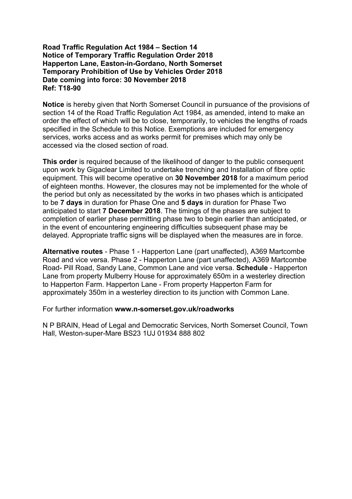#### **Road Traffic Regulation Act 1984 – Section 14 Notice of Temporary Traffic Regulation Order 2018 Happerton Lane, Easton-in-Gordano, North Somerset Temporary Prohibition of Use by Vehicles Order 2018 Date coming into force: 30 November 2018 Ref: T18-90**

**Notice** is hereby given that North Somerset Council in pursuance of the provisions of section 14 of the Road Traffic Regulation Act 1984, as amended, intend to make an order the effect of which will be to close, temporarily, to vehicles the lengths of roads specified in the Schedule to this Notice. Exemptions are included for emergency services, works access and as works permit for premises which may only be accessed via the closed section of road.

**This order** is required because of the likelihood of danger to the public consequent upon work by Gigaclear Limited to undertake trenching and Installation of fibre optic equipment. This will become operative on **30 November 2018** for a maximum period of eighteen months. However, the closures may not be implemented for the whole of the period but only as necessitated by the works in two phases which is anticipated to be **7 days** in duration for Phase One and **5 days** in duration for Phase Two anticipated to start **7 December 2018**. The timings of the phases are subject to completion of earlier phase permitting phase two to begin earlier than anticipated, or in the event of encountering engineering difficulties subsequent phase may be delayed. Appropriate traffic signs will be displayed when the measures are in force.

**Alternative routes** - Phase 1 - Happerton Lane (part unaffected), A369 Martcombe Road and vice versa. Phase 2 - Happerton Lane (part unaffected), A369 Martcombe Road- Pill Road, Sandy Lane, Common Lane and vice versa. **Schedule** - Happerton Lane from property Mulberry House for approximately 650m in a westerley direction to Happerton Farm. Happerton Lane - From property Happerton Farm for approximately 350m in a westerley direction to its junction with Common Lane.

For further information **www.n-somerset.gov.uk/roadworks**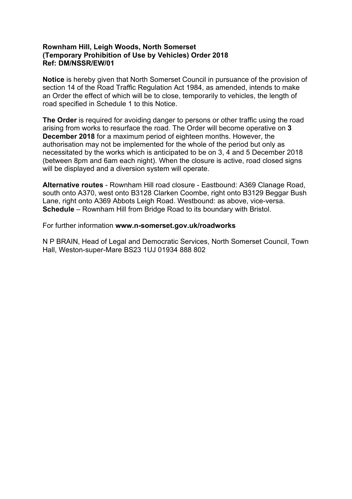# **Rownham Hill, Leigh Woods, North Somerset (Temporary Prohibition of Use by Vehicles) Order 2018 Ref: DM/NSSR/EW/01**

**Notice** is hereby given that North Somerset Council in pursuance of the provision of section 14 of the Road Traffic Regulation Act 1984, as amended, intends to make an Order the effect of which will be to close, temporarily to vehicles, the length of road specified in Schedule 1 to this Notice.

**The Order** is required for avoiding danger to persons or other traffic using the road arising from works to resurface the road. The Order will become operative on **3 December 2018** for a maximum period of eighteen months. However, the authorisation may not be implemented for the whole of the period but only as necessitated by the works which is anticipated to be on 3, 4 and 5 December 2018 (between 8pm and 6am each night). When the closure is active, road closed signs will be displayed and a diversion system will operate.

**Alternative routes** - Rownham Hill road closure - Eastbound: A369 Clanage Road, south onto A370, west onto B3128 Clarken Coombe, right onto B3129 Beggar Bush Lane, right onto A369 Abbots Leigh Road. Westbound: as above, vice-versa. **Schedule** – Rownham Hill from Bridge Road to its boundary with Bristol.

For further information **www.n-somerset.gov.uk/roadworks**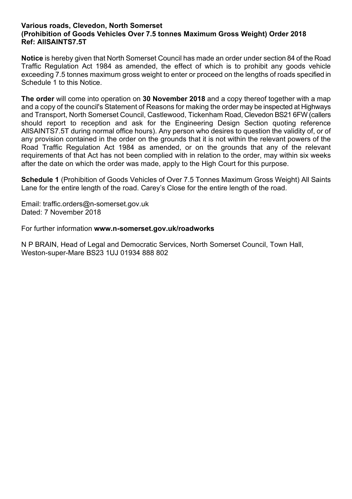# **Various roads, Clevedon, North Somerset (Prohibition of Goods Vehicles Over 7.5 tonnes Maximum Gross Weight) Order 2018 Ref: AllSAINTS7.5T**

**Notice** is hereby given that North Somerset Council has made an order under section 84 of the Road Traffic Regulation Act 1984 as amended, the effect of which is to prohibit any goods vehicle exceeding 7.5 tonnes maximum gross weight to enter or proceed on the lengths of roads specified in Schedule 1 to this Notice.

**The order** will come into operation on **30 November 2018** and a copy thereof together with a map and a copy of the council's Statement of Reasons for making the order may be inspected at Highways and Transport, North Somerset Council, Castlewood, Tickenham Road, Clevedon BS21 6FW (callers should report to reception and ask for the Engineering Design Section quoting reference AllSAINTS7.5T during normal office hours). Any person who desires to question the validity of, or of any provision contained in the order on the grounds that it is not within the relevant powers of the Road Traffic Regulation Act 1984 as amended, or on the grounds that any of the relevant requirements of that Act has not been complied with in relation to the order, may within six weeks after the date on which the order was made, apply to the High Court for this purpose.

**Schedule 1** (Prohibition of Goods Vehicles of Over 7.5 Tonnes Maximum Gross Weight) All Saints Lane for the entire length of the road. Carey's Close for the entire length of the road.

Email: traffic.orders@n-somerset.gov.uk Dated: 7 November 2018

For further information **www.n-somerset.gov.uk/roadworks**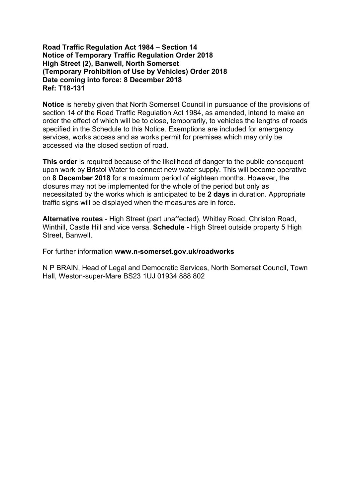## **Road Traffic Regulation Act 1984 – Section 14 Notice of Temporary Traffic Regulation Order 2018 High Street (2), Banwell, North Somerset (Temporary Prohibition of Use by Vehicles) Order 2018 Date coming into force: 8 December 2018 Ref: T18-131**

**Notice** is hereby given that North Somerset Council in pursuance of the provisions of section 14 of the Road Traffic Regulation Act 1984, as amended, intend to make an order the effect of which will be to close, temporarily, to vehicles the lengths of roads specified in the Schedule to this Notice. Exemptions are included for emergency services, works access and as works permit for premises which may only be accessed via the closed section of road.

**This order** is required because of the likelihood of danger to the public consequent upon work by Bristol Water to connect new water supply. This will become operative on **8 December 2018** for a maximum period of eighteen months. However, the closures may not be implemented for the whole of the period but only as necessitated by the works which is anticipated to be **2 days** in duration. Appropriate traffic signs will be displayed when the measures are in force.

**Alternative routes** - High Street (part unaffected), Whitley Road, Christon Road, Winthill, Castle Hill and vice versa. **Schedule -** High Street outside property 5 High Street, Banwell.

For further information **www.n-somerset.gov.uk/roadworks**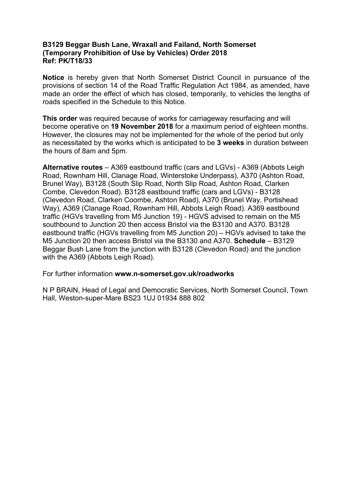# **B3129 Beggar Bush Lane, Wraxall and Failand, North Somerset (Temporary Prohibition of Use by Vehicles) Order 2018 Ref: PK/T18/33**

**Notice** is hereby given that North Somerset District Council in pursuance of the provisions of section 14 of the Road Traffic Regulation Act 1984, as amended, have made an order the effect of which has closed, temporarily, to vehicles the lengths of roads specified in the Schedule to this Notice.

**This order** was required because of works for carriageway resurfacing and will become operative on **19 November 2018** for a maximum period of eighteen months. However, the closures may not be implemented for the whole of the period but only as necessitated by the works which is anticipated to be **3 weeks** in duration between the hours of 8am and 5pm.

**Alternative routes** – A369 eastbound traffic (cars and LGVs) - A369 (Abbots Leigh Road, Rownham Hill, Clanage Road, Winterstoke Underpass), A370 (Ashton Road, Brunel Way), B3128 (South Slip Road, North Slip Road, Ashton Road, Clarken Combe, Clevedon Road). B3128 eastbound traffic (cars and LGVs) - B3128 (Clevedon Road, Clarken Coombe, Ashton Road), A370 (Brunel Way, Portishead Way), A369 (Clanage Road, Rownham Hill, Abbots Leigh Road). A369 eastbound traffic (HGVs travelling from M5 Junction 19) - HGVS advised to remain on the M5 southbound to Junction 20 then access Bristol via the B3130 and A370. B3128 eastbound traffic (HGVs travelling from M5 Junction 20) – HGVs advised to take the M5 Junction 20 then access Bristol via the B3130 and A370. **Schedule** – B3129 Beggar Bush Lane from the junction with B3128 (Clevedon Road) and the junction with the A369 (Abbots Leigh Road).

For further information **www.n-somerset.gov.uk/roadworks**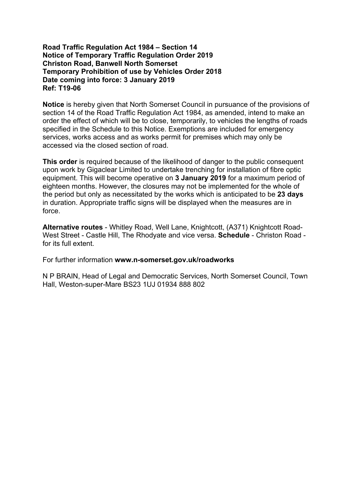#### **Road Traffic Regulation Act 1984 – Section 14 Notice of Temporary Traffic Regulation Order 2019 Christon Road, Banwell North Somerset Temporary Prohibition of use by Vehicles Order 2018 Date coming into force: 3 January 2019 Ref: T19-06**

**Notice** is hereby given that North Somerset Council in pursuance of the provisions of section 14 of the Road Traffic Regulation Act 1984, as amended, intend to make an order the effect of which will be to close, temporarily, to vehicles the lengths of roads specified in the Schedule to this Notice. Exemptions are included for emergency services, works access and as works permit for premises which may only be accessed via the closed section of road.

**This order** is required because of the likelihood of danger to the public consequent upon work by Gigaclear Limited to undertake trenching for installation of fibre optic equipment. This will become operative on **3 January 2019** for a maximum period of eighteen months. However, the closures may not be implemented for the whole of the period but only as necessitated by the works which is anticipated to be **23 days** in duration. Appropriate traffic signs will be displayed when the measures are in force.

**Alternative routes** - Whitley Road, Well Lane, Knightcott, (A371) Knightcott Road-West Street - Castle Hill, The Rhodyate and vice versa. **Schedule** - Christon Road for its full extent.

For further information **www.n-somerset.gov.uk/roadworks**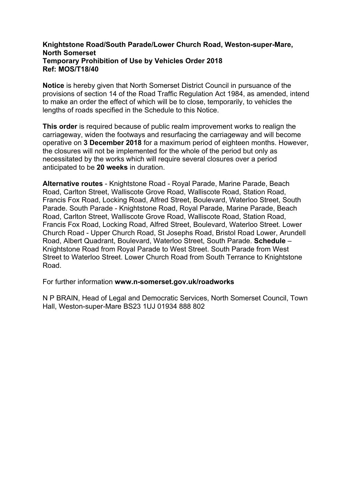# **Knightstone Road/South Parade/Lower Church Road, Weston-super-Mare, North Somerset Temporary Prohibition of Use by Vehicles Order 2018 Ref: MOS/T18/40**

**Notice** is hereby given that North Somerset District Council in pursuance of the provisions of section 14 of the Road Traffic Regulation Act 1984, as amended, intend to make an order the effect of which will be to close, temporarily, to vehicles the lengths of roads specified in the Schedule to this Notice.

**This order** is required because of public realm improvement works to realign the carriageway, widen the footways and resurfacing the carriageway and will become operative on **3 December 2018** for a maximum period of eighteen months. However, the closures will not be implemented for the whole of the period but only as necessitated by the works which will require several closures over a period anticipated to be **20 weeks** in duration.

**Alternative routes** - Knightstone Road - Royal Parade, Marine Parade, Beach Road, Carlton Street, Walliscote Grove Road, Walliscote Road, Station Road, Francis Fox Road, Locking Road, Alfred Street, Boulevard, Waterloo Street, South Parade. South Parade - Knightstone Road, Royal Parade, Marine Parade, Beach Road, Carlton Street, Walliscote Grove Road, Walliscote Road, Station Road, Francis Fox Road, Locking Road, Alfred Street, Boulevard, Waterloo Street. Lower Church Road - Upper Church Road, St Josephs Road, Bristol Road Lower, Arundell Road, Albert Quadrant, Boulevard, Waterloo Street, South Parade. **Schedule** – Knightstone Road from Royal Parade to West Street. South Parade from West Street to Waterloo Street. Lower Church Road from South Terrance to Knightstone Road.

For further information **www.n-somerset.gov.uk/roadworks**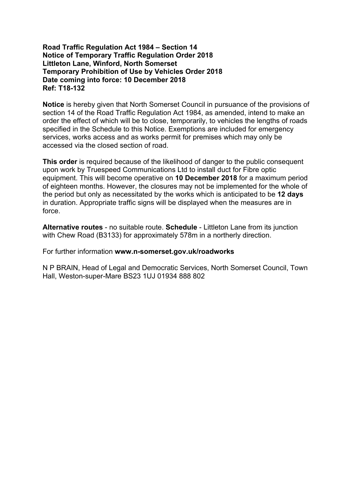# **Road Traffic Regulation Act 1984 – Section 14 Notice of Temporary Traffic Regulation Order 2018 Littleton Lane, Winford, North Somerset Temporary Prohibition of Use by Vehicles Order 2018 Date coming into force: 10 December 2018 Ref: T18-132**

**Notice** is hereby given that North Somerset Council in pursuance of the provisions of section 14 of the Road Traffic Regulation Act 1984, as amended, intend to make an order the effect of which will be to close, temporarily, to vehicles the lengths of roads specified in the Schedule to this Notice. Exemptions are included for emergency services, works access and as works permit for premises which may only be accessed via the closed section of road.

**This order** is required because of the likelihood of danger to the public consequent upon work by Truespeed Communications Ltd to install duct for Fibre optic equipment. This will become operative on **10 December 2018** for a maximum period of eighteen months. However, the closures may not be implemented for the whole of the period but only as necessitated by the works which is anticipated to be **12 days** in duration. Appropriate traffic signs will be displayed when the measures are in force.

**Alternative routes** - no suitable route. **Schedule** - Littleton Lane from its junction with Chew Road (B3133) for approximately 578m in a northerly direction.

For further information **www.n-somerset.gov.uk/roadworks**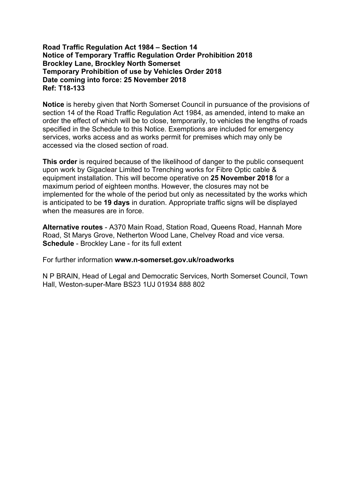# **Road Traffic Regulation Act 1984 – Section 14 Notice of Temporary Traffic Regulation Order Prohibition 2018 Brockley Lane, Brockley North Somerset Temporary Prohibition of use by Vehicles Order 2018 Date coming into force: 25 November 2018 Ref: T18-133**

**Notice** is hereby given that North Somerset Council in pursuance of the provisions of section 14 of the Road Traffic Regulation Act 1984, as amended, intend to make an order the effect of which will be to close, temporarily, to vehicles the lengths of roads specified in the Schedule to this Notice. Exemptions are included for emergency services, works access and as works permit for premises which may only be accessed via the closed section of road.

**This order** is required because of the likelihood of danger to the public consequent upon work by Gigaclear Limited to Trenching works for Fibre Optic cable & equipment installation. This will become operative on **25 November 2018** for a maximum period of eighteen months. However, the closures may not be implemented for the whole of the period but only as necessitated by the works which is anticipated to be **19 days** in duration. Appropriate traffic signs will be displayed when the measures are in force.

**Alternative routes** - A370 Main Road, Station Road, Queens Road, Hannah More Road, St Marys Grove, Netherton Wood Lane, Chelvey Road and vice versa. **Schedule** - Brockley Lane - for its full extent

For further information **www.n-somerset.gov.uk/roadworks**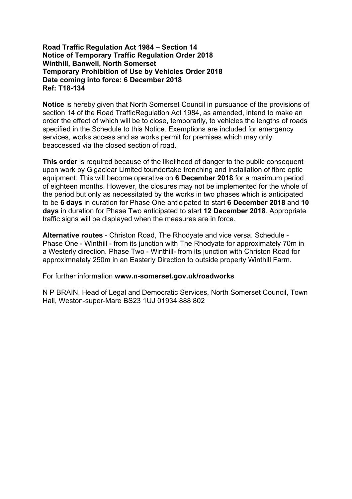# **Road Traffic Regulation Act 1984 – Section 14 Notice of Temporary Traffic Regulation Order 2018 Winthill, Banwell, North Somerset Temporary Prohibition of Use by Vehicles Order 2018 Date coming into force: 6 December 2018 Ref: T18-134**

**Notice** is hereby given that North Somerset Council in pursuance of the provisions of section 14 of the Road TrafficRegulation Act 1984, as amended, intend to make an order the effect of which will be to close, temporarily, to vehicles the lengths of roads specified in the Schedule to this Notice. Exemptions are included for emergency services, works access and as works permit for premises which may only beaccessed via the closed section of road.

**This order** is required because of the likelihood of danger to the public consequent upon work by Gigaclear Limited toundertake trenching and installation of fibre optic equipment. This will become operative on **6 December 2018** for a maximum period of eighteen months. However, the closures may not be implemented for the whole of the period but only as necessitated by the works in two phases which is anticipated to be **6 days** in duration for Phase One anticipated to start **6 December 2018** and **10 days** in duration for Phase Two anticipated to start **12 December 2018**. Appropriate traffic signs will be displayed when the measures are in force.

**Alternative routes** - Christon Road, The Rhodyate and vice versa. Schedule - Phase One - Winthill - from its junction with The Rhodyate for approximately 70m in a Westerly direction. Phase Two - Winthill- from its junction with Christon Road for approximnately 250m in an Easterly Direction to outside property Winthill Farm.

For further information **www.n-somerset.gov.uk/roadworks**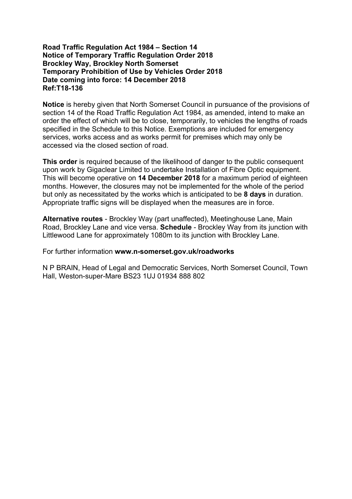# **Road Traffic Regulation Act 1984 – Section 14 Notice of Temporary Traffic Regulation Order 2018 Brockley Way, Brockley North Somerset Temporary Prohibition of Use by Vehicles Order 2018 Date coming into force: 14 December 2018 Ref:T18-136**

**Notice** is hereby given that North Somerset Council in pursuance of the provisions of section 14 of the Road Traffic Regulation Act 1984, as amended, intend to make an order the effect of which will be to close, temporarily, to vehicles the lengths of roads specified in the Schedule to this Notice. Exemptions are included for emergency services, works access and as works permit for premises which may only be accessed via the closed section of road.

**This order** is required because of the likelihood of danger to the public consequent upon work by Gigaclear Limited to undertake Installation of Fibre Optic equipment. This will become operative on **14 December 2018** for a maximum period of eighteen months. However, the closures may not be implemented for the whole of the period but only as necessitated by the works which is anticipated to be **8 days** in duration. Appropriate traffic signs will be displayed when the measures are in force.

**Alternative routes** - Brockley Way (part unaffected), Meetinghouse Lane, Main Road, Brockley Lane and vice versa. **Schedule** - Brockley Way from its junction with Littlewood Lane for approximately 1080m to its junction with Brockley Lane.

For further information **www.n-somerset.gov.uk/roadworks**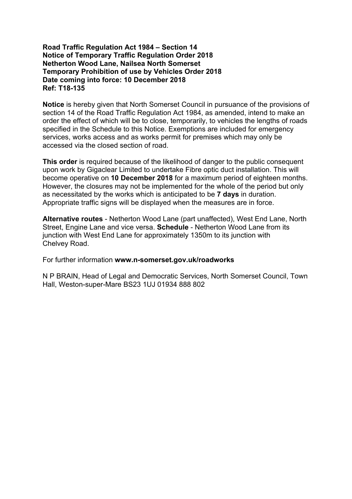# **Road Traffic Regulation Act 1984 – Section 14 Notice of Temporary Traffic Regulation Order 2018 Netherton Wood Lane, Nailsea North Somerset Temporary Prohibition of use by Vehicles Order 2018 Date coming into force: 10 December 2018 Ref: T18-135**

**Notice** is hereby given that North Somerset Council in pursuance of the provisions of section 14 of the Road Traffic Regulation Act 1984, as amended, intend to make an order the effect of which will be to close, temporarily, to vehicles the lengths of roads specified in the Schedule to this Notice. Exemptions are included for emergency services, works access and as works permit for premises which may only be accessed via the closed section of road.

**This order** is required because of the likelihood of danger to the public consequent upon work by Gigaclear Limited to undertake Fibre optic duct installation. This will become operative on **10 December 2018** for a maximum period of eighteen months. However, the closures may not be implemented for the whole of the period but only as necessitated by the works which is anticipated to be **7 days** in duration. Appropriate traffic signs will be displayed when the measures are in force.

**Alternative routes** - Netherton Wood Lane (part unaffected), West End Lane, North Street, Engine Lane and vice versa. **Schedule** - Netherton Wood Lane from its junction with West End Lane for approximately 1350m to its junction with Chelvey Road.

For further information **www.n-somerset.gov.uk/roadworks**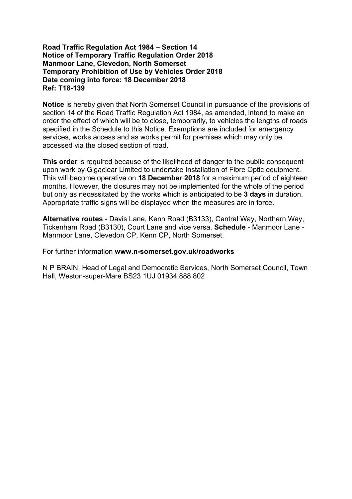# **Road Traffic Regulation Act 1984 – Section 14 Notice of Temporary Traffic Regulation Order 2018 Manmoor Lane, Clevedon, North Somerset Temporary Prohibition of Use by Vehicles Order 2018 Date coming into force: 18 December 2018 Ref: T18-139**

**Notice** is hereby given that North Somerset Council in pursuance of the provisions of section 14 of the Road Traffic Regulation Act 1984, as amended, intend to make an order the effect of which will be to close, temporarily, to vehicles the lengths of roads specified in the Schedule to this Notice. Exemptions are included for emergency services, works access and as works permit for premises which may only be accessed via the closed section of road.

**This order** is required because of the likelihood of danger to the public consequent upon work by Gigaclear Limited to undertake Installation of Fibre Optic equipment. This will become operative on **18 December 2018** for a maximum period of eighteen months. However, the closures may not be implemented for the whole of the period but only as necessitated by the works which is anticipated to be **3 days** in duration. Appropriate traffic signs will be displayed when the measures are in force.

**Alternative routes** - Davis Lane, Kenn Road (B3133), Central Way, Northern Way, Tickenham Road (B3130), Court Lane and vice versa. **Schedule** - Manmoor Lane - Manmoor Lane, Clevedon CP, Kenn CP, North Somerset.

For further information **www.n-somerset.gov.uk/roadworks**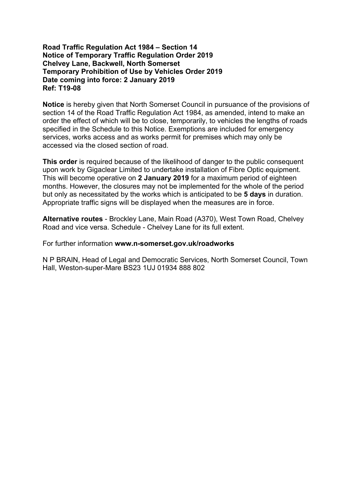#### **Road Traffic Regulation Act 1984 – Section 14 Notice of Temporary Traffic Regulation Order 2019 Chelvey Lane, Backwell, North Somerset Temporary Prohibition of Use by Vehicles Order 2019 Date coming into force: 2 January 2019 Ref: T19-08**

**Notice** is hereby given that North Somerset Council in pursuance of the provisions of section 14 of the Road Traffic Regulation Act 1984, as amended, intend to make an order the effect of which will be to close, temporarily, to vehicles the lengths of roads specified in the Schedule to this Notice. Exemptions are included for emergency services, works access and as works permit for premises which may only be accessed via the closed section of road.

**This order** is required because of the likelihood of danger to the public consequent upon work by Gigaclear Limited to undertake installation of Fibre Optic equipment. This will become operative on **2 January 2019** for a maximum period of eighteen months. However, the closures may not be implemented for the whole of the period but only as necessitated by the works which is anticipated to be **5 days** in duration. Appropriate traffic signs will be displayed when the measures are in force.

**Alternative routes** - Brockley Lane, Main Road (A370), West Town Road, Chelvey Road and vice versa. Schedule - Chelvey Lane for its full extent.

For further information **www.n-somerset.gov.uk/roadworks**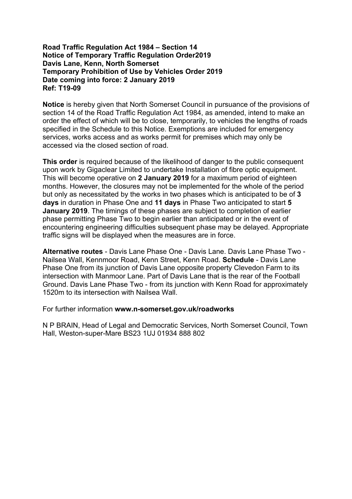#### **Road Traffic Regulation Act 1984 – Section 14 Notice of Temporary Traffic Regulation Order2019 Davis Lane, Kenn, North Somerset Temporary Prohibition of Use by Vehicles Order 2019 Date coming into force: 2 January 2019 Ref: T19-09**

**Notice** is hereby given that North Somerset Council in pursuance of the provisions of section 14 of the Road Traffic Regulation Act 1984, as amended, intend to make an order the effect of which will be to close, temporarily, to vehicles the lengths of roads specified in the Schedule to this Notice. Exemptions are included for emergency services, works access and as works permit for premises which may only be accessed via the closed section of road.

**This order** is required because of the likelihood of danger to the public consequent upon work by Gigaclear Limited to undertake Installation of fibre optic equipment. This will become operative on **2 January 2019** for a maximum period of eighteen months. However, the closures may not be implemented for the whole of the period but only as necessitated by the works in two phases which is anticipated to be of **3 days** in duration in Phase One and **11 days** in Phase Two anticipated to start **5 January 2019**. The timings of these phases are subject to completion of earlier phase permitting Phase Two to begin earlier than anticipated or in the event of encountering engineering difficulties subsequent phase may be delayed. Appropriate traffic signs will be displayed when the measures are in force.

**Alternative routes** - Davis Lane Phase One - Davis Lane. Davis Lane Phase Two - Nailsea Wall, Kennmoor Road, Kenn Street, Kenn Road. **Schedule** - Davis Lane Phase One from its junction of Davis Lane opposite property Clevedon Farm to its intersection with Manmoor Lane. Part of Davis Lane that is the rear of the Football Ground. Davis Lane Phase Two - from its junction with Kenn Road for approximately 1520m to its intersection with Nailsea Wall.

For further information **www.n-somerset.gov.uk/roadworks**